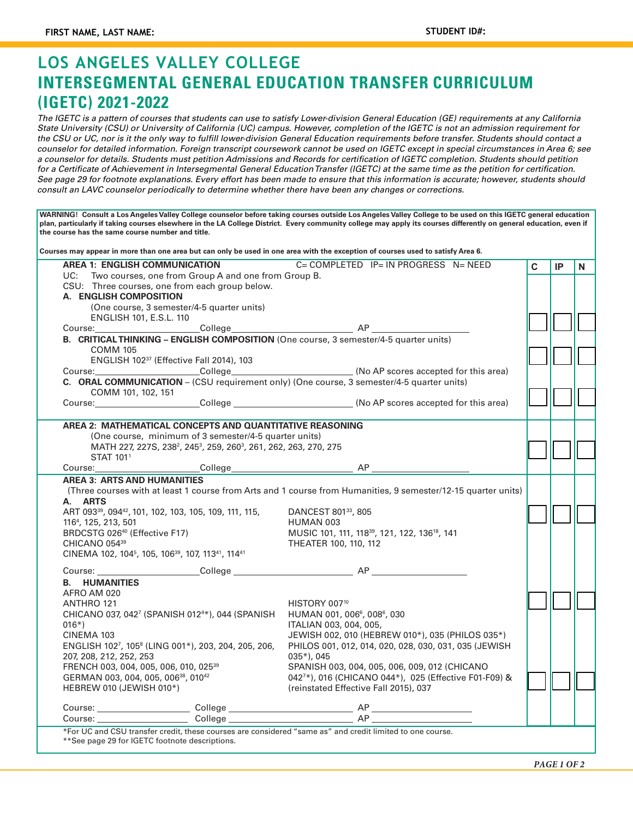## **LOS ANGELES VALLEY COLLEGE INTERSEGMENTAL GENERAL EDUCATION TRANSFER CURRICULUM (IGETC) 2021-2022**

*The IGETC is a pattern of courses that students can use to satisfy Lower-division General Education (GE) requirements at any California State University (CSU) or University of California (UC) campus. However, completion of the IGETC is not an admission requirement for the CSU or UC, nor is it the only way to fulfill lower-division General Education requirements before transfer. Students should contact a counselor for detailed information. Foreign transcript coursework cannot be used on IGETC except in special circumstances in Area 6; see a counselor for details. Students must petition Admissions and Records for certification of IGETC completion. Students should petition for a Certificate of Achievement in Intersegmental General Education Transfer (IGETC) at the same time as the petition for certification. See page 29 for footnote explanations. Every effort has been made to ensure that this information is accurate; however, students should consult an LAVC counselor periodically to determine whether there have been any changes or corrections.*

**WARNING! Consult a Los Angeles Valley College counselor before taking courses outside Los Angeles Valley College to be used on this IGETC general education**  plan, particularly if taking courses elsewhere in the LA College District. Every community college may apply its courses differently on general education, even if **the course has the same course number and title. Courses may appear in more than one area but can only be used in one area with the exception of courses used to satisfy Area 6. AREA 1: ENGLISH COMMUNICATION** C= COMPLETED IP= IN PROGRESS N= NEED UC: Two courses, one from Group A and one from Group B. CSU: Three courses, one from each group below. **A. ENGLISH COMPOSITION** (One course, 3 semester/4-5 quarter units) ENGLISH 101, E.S.L. 110 Course: College AP **B. CRITICAL THINKING – ENGLISH COMPOSITION** (One course, 3 semester/4-5 quarter units) COMM 105 ENGLISH 10237 (Effective Fall 2014), 103 Course: College College College (No AP scores accepted for this area) **C. ORAL COMMUNICATION** – (CSU requirement only) (One course, 3 semester/4-5 quarter units) COMM 101, 102, 151 Course: Course: College Course: College Course: Course: Course: Course: Course: Course: Course: College Course: College Course: Course: Course: Course: Course: Course: Course: Course: Course: Course: Course: Course: Course **AREA 2: MATHEMATICAL CONCEPTS AND QUANTITATIVE REASONING** (One course, minimum of 3 semester/4-5 quarter units) MATH 227, 227S, 238<sup>2</sup>, 245<sup>3</sup>, 259, 260<sup>3</sup>, 261, 262, 263, 270, 275 STAT 1011 Course: College College AP **AREA 3: ARTS AND HUMANITIES** (Three courses with at least 1 course from Arts and 1 course from Humanities, 9 semester/12-15 quarter units) **A. ARTS** ART 09339, 09442, 101, 102, 103, 105, 109, 111, 115, 1164 , 125, 213, 501 BRDCSTG 02640 (Effective F17) CHICANO 05439 CINEMA 102, 1045 , 105, 10639, 107, 11341, 11441 DANCEST 801<sup>33</sup>, 805 HUMAN 003 MUSIC 101, 111, 11839, 121, 122, 13618, 141 THEATER 100, 110, 112 Course: College AP **B. HUMANITIES** AFRO AM 020 ANTHRO 121 CHICANO 037, 0427 (SPANISH 0124 \*), 044 (SPANISH 016\*) CINEMA 103 ENGLISH 1027 , 1058 (LING 001\*), 203, 204, 205, 206, 207, 208, 212, 252, 253 FRENCH 003, 004, 005, 006, 010, 02539 GERMAN 003, 004, 005, 00638, 01042 HEBREW 010 (JEWISH 010\*) HISTORY 007<sup>10</sup> HUMAN 001, 006<sup>6</sup>, 008<sup>6</sup>, 030 ITALIAN 003, 004, 005, JEWISH 002, 010 (HEBREW 010\*), 035 (PHILOS 035\*) PHILOS 001, 012, 014, 020, 028, 030, 031, 035 (JEWISH 035\*), 045 SPANISH 003, 004, 005, 006, 009, 012 (CHICANO 0427 \*), 016 (CHICANO 044\*), 025 (Effective F01-F09) & (reinstated Effective Fall 2015), 037 Course: College AP Course: College AP \*For UC and CSU transfer credit, these courses are considered "same as" and credit limited to one course. **C IP N**

\*\*See page 29 for IGETC footnote descriptions.